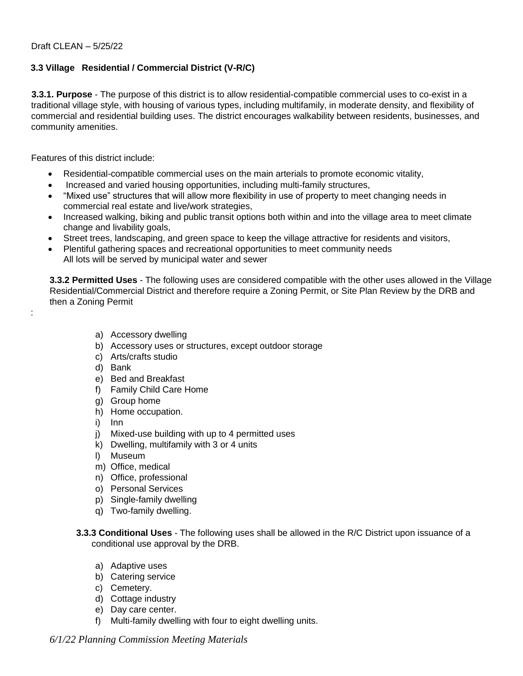## **3.3 Village Residential / Commercial District (V-R/C)**

**3.3.1. Purpose** - The purpose of this district is to allow residential-compatible commercial uses to co-exist in a traditional village style, with housing of various types, including multifamily, in moderate density, and flexibility of commercial and residential building uses. The district encourages walkability between residents, businesses, and community amenities.

Features of this district include:

- Residential-compatible commercial uses on the main arterials to promote economic vitality,
- Increased and varied housing opportunities, including multi-family structures,
- "Mixed use" structures that will allow more flexibility in use of property to meet changing needs in commercial real estate and live/work strategies,
- Increased walking, biking and public transit options both within and into the village area to meet climate change and livability goals,
- Street trees, landscaping, and green space to keep the village attractive for residents and visitors,
- Plentiful gathering spaces and recreational opportunities to meet community needs All lots will be served by municipal water and sewer

**3.3.2 Permitted Uses** - The following uses are considered compatible with the other uses allowed in the Village Residential/Commercial District and therefore require a Zoning Permit, or Site Plan Review by the DRB and then a Zoning Permit

- a) Accessory dwelling
- b) Accessory uses or structures, except outdoor storage
- c) Arts/crafts studio
- d) Bank

:

- e) Bed and Breakfast
- f) Family Child Care Home
- g) Group home
- h) Home occupation.
- i) Inn
- j) Mixed-use building with up to 4 permitted uses
- k) Dwelling, multifamily with 3 or 4 units
- l) Museum
- m) Office, medical
- n) Office, professional
- o) Personal Services
- p) Single-family dwelling
- q) Two-family dwelling.
- **3.3.3 Conditional Uses** The following uses shall be allowed in the R/C District upon issuance of a conditional use approval by the DRB.
	- a) Adaptive uses
	- b) Catering service
	- c) Cemetery.
	- d) Cottage industry
	- e) Day care center.
	- f) Multi-family dwelling with four to eight dwelling units.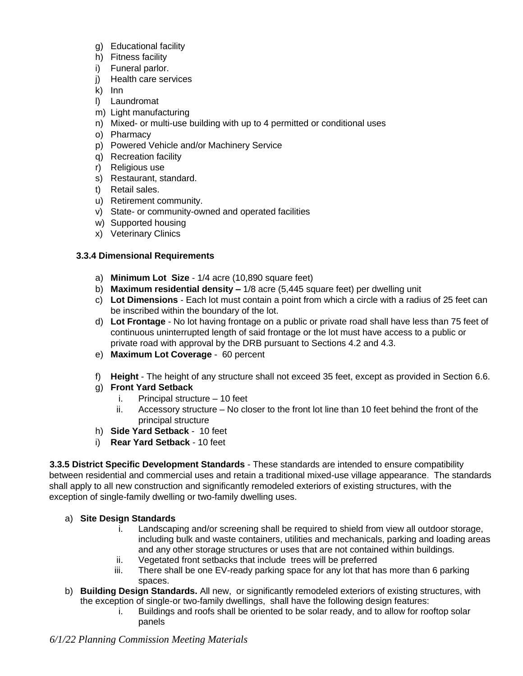- g) Educational facility
- h) Fitness facility
- i) Funeral parlor.
- j) Health care services
- k) Inn
- l) Laundromat
- m) Light manufacturing
- n) Mixed- or multi-use building with up to 4 permitted or conditional uses
- o) Pharmacy
- p) Powered Vehicle and/or Machinery Service
- q) Recreation facility
- r) Religious use
- s) Restaurant, standard.
- t) Retail sales.
- u) Retirement community.
- v) State- or community-owned and operated facilities
- w) Supported housing
- x) Veterinary Clinics

## **3.3.4 Dimensional Requirements**

- a) **Minimum Lot Size** 1/4 acre (10,890 square feet)
- b) **Maximum residential density –** 1/8 acre (5,445 square feet) per dwelling unit
- c) **Lot Dimensions** Each lot must contain a point from which a circle with a radius of 25 feet can be inscribed within the boundary of the lot.
- d) **Lot Frontage** No lot having frontage on a public or private road shall have less than 75 feet of continuous uninterrupted length of said frontage or the lot must have access to a public or private road with approval by the DRB pursuant to Sections 4.2 and 4.3.
- e) **Maximum Lot Coverage** 60 percent
- f) **Height** The height of any structure shall not exceed 35 feet, except as provided in Section 6.6.
- g) **Front Yard Setback**
	- i. Principal structure 10 feet
	- ii. Accessory structure No closer to the front lot line than 10 feet behind the front of the principal structure
- h) **Side Yard Setback** 10 feet
- i) **Rear Yard Setback** 10 feet

**3.3.5 District Specific Development Standards** - These standards are intended to ensure compatibility between residential and commercial uses and retain a traditional mixed-use village appearance. The standards shall apply to all new construction and significantly remodeled exteriors of existing structures, with the exception of single-family dwelling or two-family dwelling uses.

## a) **Site Design Standards**

- i. Landscaping and/or screening shall be required to shield from view all outdoor storage, including bulk and waste containers, utilities and mechanicals, parking and loading areas and any other storage structures or uses that are not contained within buildings.
- ii. Vegetated front setbacks that include trees will be preferred
- iii. There shall be one EV-ready parking space for any lot that has more than 6 parking spaces.
- b) **Building Design Standards.** All new, or significantly remodeled exteriors of existing structures, with the exception of single-or two-family dwellings, shall have the following design features:
	- i. Buildings and roofs shall be oriented to be solar ready, and to allow for rooftop solar panels